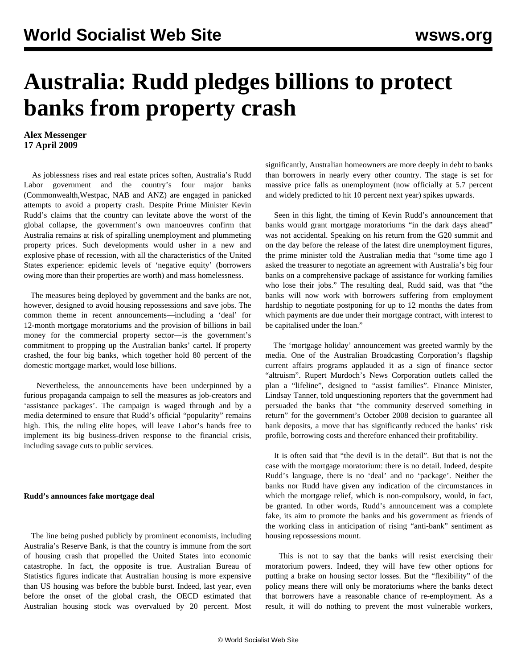## **Australia: Rudd pledges billions to protect banks from property crash**

## **Alex Messenger 17 April 2009**

 As joblessness rises and real estate prices soften, Australia's Rudd Labor government and the country's four major banks (Commonwealth,Westpac, NAB and ANZ) are engaged in panicked attempts to avoid a property crash. Despite Prime Minister Kevin Rudd's claims that the country can levitate above the worst of the global collapse, the government's own manoeuvres confirm that Australia remains at risk of spiralling unemployment and plummeting property prices. Such developments would usher in a new and explosive phase of recession, with all the characteristics of the United States experience: epidemic levels of 'negative equity' (borrowers owing more than their properties are worth) and mass homelessness.

 The measures being deployed by government and the banks are not, however, designed to avoid housing repossessions and save jobs. The common theme in recent announcements—including a 'deal' for 12-month mortgage moratoriums and the provision of billions in bail money for the commercial property sector—is the government's commitment to propping up the Australian banks' cartel. If property crashed, the four big banks, which together hold 80 percent of the domestic mortgage market, would lose billions.

 Nevertheless, the announcements have been underpinned by a furious propaganda campaign to sell the measures as job-creators and 'assistance packages'. The campaign is waged through and by a media determined to ensure that Rudd's official "popularity" remains high. This, the ruling elite hopes, will leave Labor's hands free to implement its big business-driven response to the financial crisis, including savage cuts to public services.

## **Rudd's announces fake mortgage deal**

 The line being pushed publicly by prominent economists, including Australia's Reserve Bank, is that the country is immune from the sort of housing crash that propelled the United States into economic catastrophe. In fact, the opposite is true. Australian Bureau of Statistics figures indicate that Australian housing is more expensive than US housing was before the bubble burst. Indeed, last year, even before the onset of the global crash, the OECD estimated that Australian housing stock was overvalued by 20 percent. Most significantly, Australian homeowners are more deeply in debt to banks than borrowers in nearly every other country. The stage is set for massive price falls as unemployment (now officially at 5.7 percent and widely predicted to hit 10 percent next year) spikes upwards.

 Seen in this light, the timing of Kevin Rudd's announcement that banks would grant mortgage moratoriums "in the dark days ahead" was not accidental. Speaking on his return from the G20 summit and on the day before the release of the latest dire unemployment figures, the prime minister told the Australian media that "some time ago I asked the treasurer to negotiate an agreement with Australia's big four banks on a comprehensive package of assistance for working families who lose their jobs." The resulting deal, Rudd said, was that "the banks will now work with borrowers suffering from employment hardship to negotiate postponing for up to 12 months the dates from which payments are due under their mortgage contract, with interest to be capitalised under the loan."

 The 'mortgage holiday' announcement was greeted warmly by the media. One of the Australian Broadcasting Corporation's flagship current affairs programs applauded it as a sign of finance sector "altruism". Rupert Murdoch's News Corporation outlets called the plan a "lifeline", designed to "assist families". Finance Minister, Lindsay Tanner, told unquestioning reporters that the government had persuaded the banks that "the community deserved something in return" for the government's October 2008 decision to guarantee all bank deposits, a move that has significantly reduced the banks' risk profile, borrowing costs and therefore enhanced their profitability.

 It is often said that "the devil is in the detail". But that is not the case with the mortgage moratorium: there is no detail. Indeed, despite Rudd's language, there is no 'deal' and no 'package'. Neither the banks nor Rudd have given any indication of the circumstances in which the mortgage relief, which is non-compulsory, would, in fact, be granted. In other words, Rudd's announcement was a complete fake, its aim to promote the banks and his government as friends of the working class in anticipation of rising "anti-bank" sentiment as housing repossessions mount.

 This is not to say that the banks will resist exercising their moratorium powers. Indeed, they will have few other options for putting a brake on housing sector losses. But the "flexibility" of the policy means there will only be moratoriums where the banks detect that borrowers have a reasonable chance of re-employment. As a result, it will do nothing to prevent the most vulnerable workers,